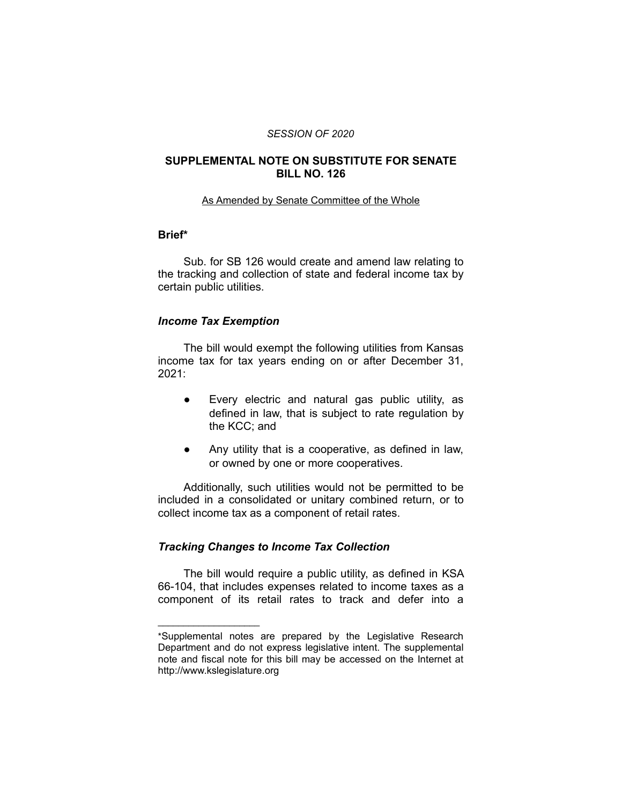#### *SESSION OF 2020*

### **SUPPLEMENTAL NOTE ON SUBSTITUTE FOR SENATE BILL NO. 126**

#### As Amended by Senate Committee of the Whole

# **Brief\***

Sub. for SB 126 would create and amend law relating to the tracking and collection of state and federal income tax by certain public utilities.

#### *Income Tax Exemption*

 $\overline{\phantom{a}}$  , where  $\overline{\phantom{a}}$  , where  $\overline{\phantom{a}}$ 

The bill would exempt the following utilities from Kansas income tax for tax years ending on or after December 31, 2021:

- Every electric and natural gas public utility, as defined in law, that is subject to rate regulation by the KCC; and
- Any utility that is a cooperative, as defined in law, or owned by one or more cooperatives.

Additionally, such utilities would not be permitted to be included in a consolidated or unitary combined return, or to collect income tax as a component of retail rates.

## *Tracking Changes to Income Tax Collection*

The bill would require a public utility, as defined in KSA 66-104, that includes expenses related to income taxes as a component of its retail rates to track and defer into a

<sup>\*</sup>Supplemental notes are prepared by the Legislative Research Department and do not express legislative intent. The supplemental note and fiscal note for this bill may be accessed on the Internet at http://www.kslegislature.org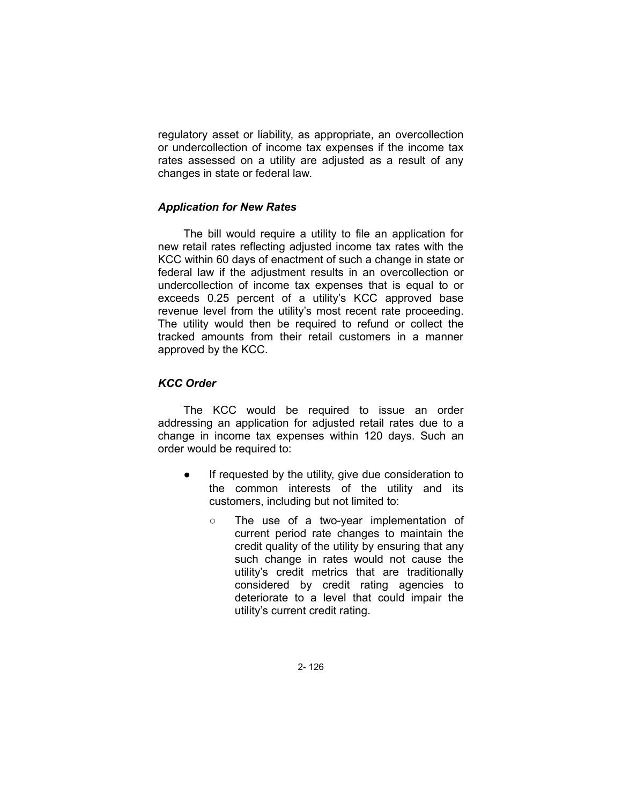regulatory asset or liability, as appropriate, an overcollection or undercollection of income tax expenses if the income tax rates assessed on a utility are adjusted as a result of any changes in state or federal law.

## *Application for New Rates*

The bill would require a utility to file an application for new retail rates reflecting adjusted income tax rates with the KCC within 60 days of enactment of such a change in state or federal law if the adjustment results in an overcollection or undercollection of income tax expenses that is equal to or exceeds 0.25 percent of a utility's KCC approved base revenue level from the utility's most recent rate proceeding. The utility would then be required to refund or collect the tracked amounts from their retail customers in a manner approved by the KCC.

### *KCC Order*

The KCC would be required to issue an order addressing an application for adjusted retail rates due to a change in income tax expenses within 120 days. Such an order would be required to:

- If requested by the utility, give due consideration to the common interests of the utility and its customers, including but not limited to:
	- The use of a two-year implementation of current period rate changes to maintain the credit quality of the utility by ensuring that any such change in rates would not cause the utility's credit metrics that are traditionally considered by credit rating agencies to deteriorate to a level that could impair the utility's current credit rating.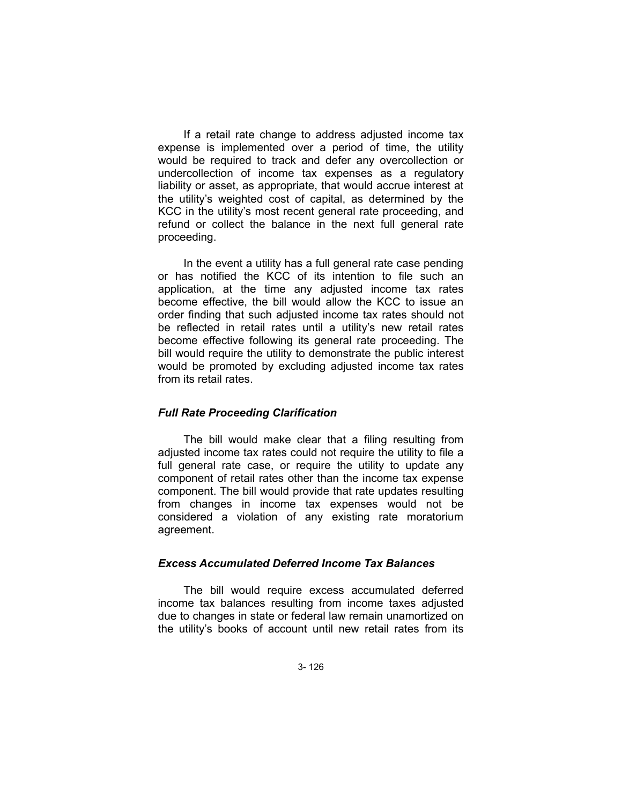If a retail rate change to address adjusted income tax expense is implemented over a period of time, the utility would be required to track and defer any overcollection or undercollection of income tax expenses as a regulatory liability or asset, as appropriate, that would accrue interest at the utility's weighted cost of capital, as determined by the KCC in the utility's most recent general rate proceeding, and refund or collect the balance in the next full general rate proceeding.

In the event a utility has a full general rate case pending or has notified the KCC of its intention to file such an application, at the time any adjusted income tax rates become effective, the bill would allow the KCC to issue an order finding that such adjusted income tax rates should not be reflected in retail rates until a utility's new retail rates become effective following its general rate proceeding. The bill would require the utility to demonstrate the public interest would be promoted by excluding adjusted income tax rates from its retail rates.

#### *Full Rate Proceeding Clarification*

The bill would make clear that a filing resulting from adjusted income tax rates could not require the utility to file a full general rate case, or require the utility to update any component of retail rates other than the income tax expense component. The bill would provide that rate updates resulting from changes in income tax expenses would not be considered a violation of any existing rate moratorium agreement.

### *Excess Accumulated Deferred Income Tax Balances*

The bill would require excess accumulated deferred income tax balances resulting from income taxes adjusted due to changes in state or federal law remain unamortized on the utility's books of account until new retail rates from its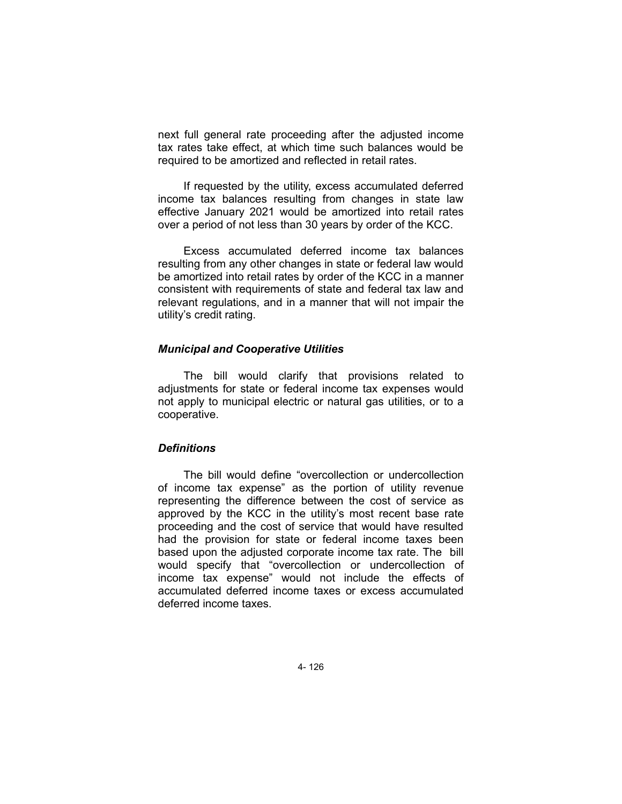next full general rate proceeding after the adjusted income tax rates take effect, at which time such balances would be required to be amortized and reflected in retail rates.

If requested by the utility, excess accumulated deferred income tax balances resulting from changes in state law effective January 2021 would be amortized into retail rates over a period of not less than 30 years by order of the KCC.

Excess accumulated deferred income tax balances resulting from any other changes in state or federal law would be amortized into retail rates by order of the KCC in a manner consistent with requirements of state and federal tax law and relevant regulations, and in a manner that will not impair the utility's credit rating.

#### *Municipal and Cooperative Utilities*

The bill would clarify that provisions related to adjustments for state or federal income tax expenses would not apply to municipal electric or natural gas utilities, or to a cooperative.

#### *Definitions*

The bill would define "overcollection or undercollection of income tax expense" as the portion of utility revenue representing the difference between the cost of service as approved by the KCC in the utility's most recent base rate proceeding and the cost of service that would have resulted had the provision for state or federal income taxes been based upon the adjusted corporate income tax rate. The bill would specify that "overcollection or undercollection of income tax expense" would not include the effects of accumulated deferred income taxes or excess accumulated deferred income taxes.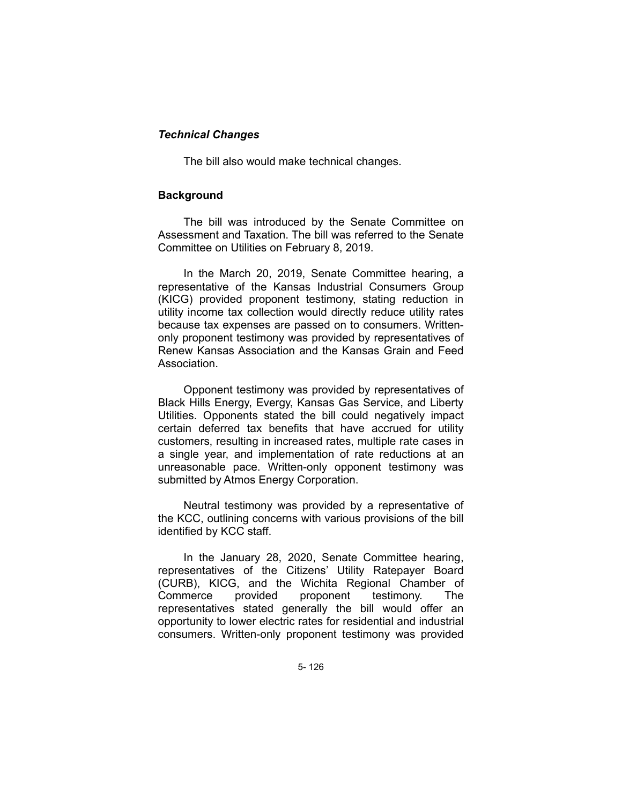## *Technical Changes*

The bill also would make technical changes.

### **Background**

The bill was introduced by the Senate Committee on Assessment and Taxation. The bill was referred to the Senate Committee on Utilities on February 8, 2019.

In the March 20, 2019, Senate Committee hearing, a representative of the Kansas Industrial Consumers Group (KICG) provided proponent testimony, stating reduction in utility income tax collection would directly reduce utility rates because tax expenses are passed on to consumers. Writtenonly proponent testimony was provided by representatives of Renew Kansas Association and the Kansas Grain and Feed Association.

Opponent testimony was provided by representatives of Black Hills Energy, Evergy, Kansas Gas Service, and Liberty Utilities. Opponents stated the bill could negatively impact certain deferred tax benefits that have accrued for utility customers, resulting in increased rates, multiple rate cases in a single year, and implementation of rate reductions at an unreasonable pace. Written-only opponent testimony was submitted by Atmos Energy Corporation.

Neutral testimony was provided by a representative of the KCC, outlining concerns with various provisions of the bill identified by KCC staff.

In the January 28, 2020, Senate Committee hearing, representatives of the Citizens' Utility Ratepayer Board (CURB), KICG, and the Wichita Regional Chamber of Commerce provided proponent testimony. The representatives stated generally the bill would offer an opportunity to lower electric rates for residential and industrial consumers. Written-only proponent testimony was provided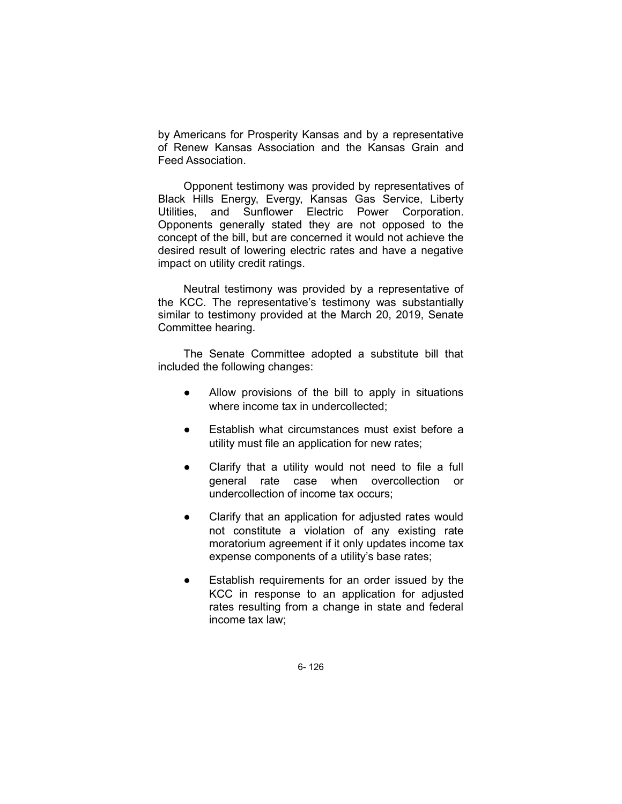by Americans for Prosperity Kansas and by a representative of Renew Kansas Association and the Kansas Grain and Feed Association.

Opponent testimony was provided by representatives of Black Hills Energy, Evergy, Kansas Gas Service, Liberty Utilities, and Sunflower Electric Power Corporation. Opponents generally stated they are not opposed to the concept of the bill, but are concerned it would not achieve the desired result of lowering electric rates and have a negative impact on utility credit ratings.

Neutral testimony was provided by a representative of the KCC. The representative's testimony was substantially similar to testimony provided at the March 20, 2019, Senate Committee hearing.

The Senate Committee adopted a substitute bill that included the following changes:

- Allow provisions of the bill to apply in situations where income tax in undercollected;
- Establish what circumstances must exist before a utility must file an application for new rates;
- Clarify that a utility would not need to file a full general rate case when overcollection or undercollection of income tax occurs;
- Clarify that an application for adjusted rates would not constitute a violation of any existing rate moratorium agreement if it only updates income tax expense components of a utility's base rates;
- Establish requirements for an order issued by the KCC in response to an application for adjusted rates resulting from a change in state and federal income tax law;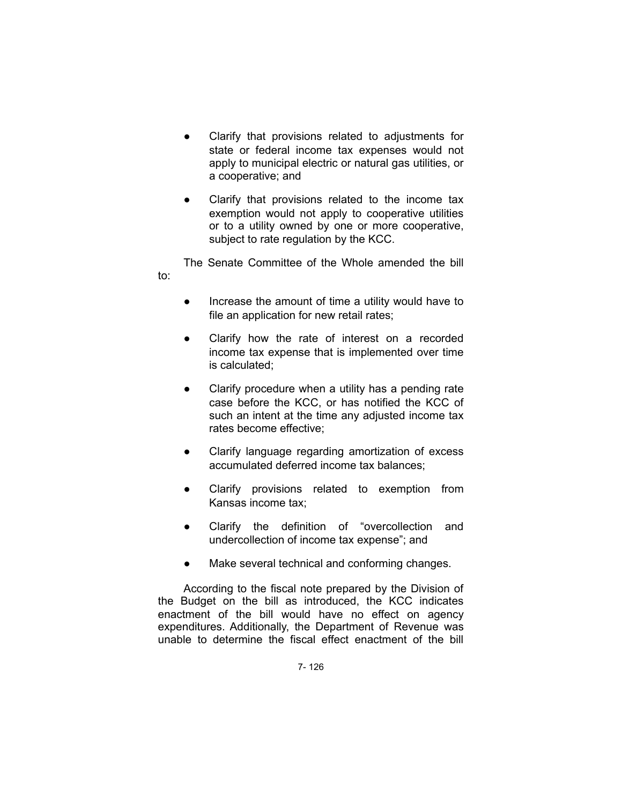- Clarify that provisions related to adjustments for state or federal income tax expenses would not apply to municipal electric or natural gas utilities, or a cooperative; and
- Clarify that provisions related to the income tax exemption would not apply to cooperative utilities or to a utility owned by one or more cooperative, subject to rate regulation by the KCC.

The Senate Committee of the Whole amended the bill

to:

- Increase the amount of time a utility would have to file an application for new retail rates;
- Clarify how the rate of interest on a recorded income tax expense that is implemented over time is calculated;
- Clarify procedure when a utility has a pending rate case before the KCC, or has notified the KCC of such an intent at the time any adjusted income tax rates become effective;
- Clarify language regarding amortization of excess accumulated deferred income tax balances;
- Clarify provisions related to exemption from Kansas income tax;
- Clarify the definition of "overcollection and undercollection of income tax expense"; and
- Make several technical and conforming changes.

According to the fiscal note prepared by the Division of the Budget on the bill as introduced, the KCC indicates enactment of the bill would have no effect on agency expenditures. Additionally, the Department of Revenue was unable to determine the fiscal effect enactment of the bill